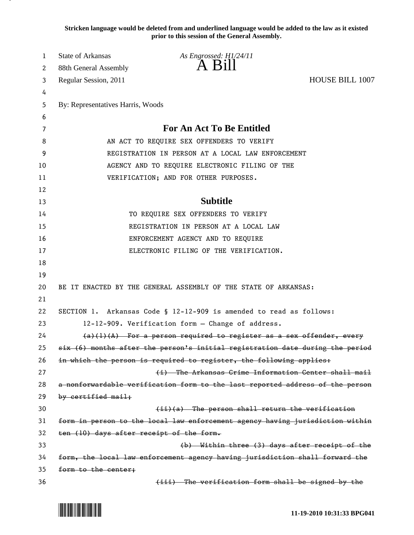**Stricken language would be deleted from and underlined language would be added to the law as it existed prior to this session of the General Assembly.**

| 1        | <b>State of Arkansas</b>                 | As Engrossed: H1/24/11                                                        |                        |
|----------|------------------------------------------|-------------------------------------------------------------------------------|------------------------|
| 2        | 88th General Assembly                    | $A$ Bill                                                                      |                        |
| 3        | Regular Session, 2011                    |                                                                               | <b>HOUSE BILL 1007</b> |
| 4        |                                          |                                                                               |                        |
| 5        | By: Representatives Harris, Woods        |                                                                               |                        |
| 6        |                                          |                                                                               |                        |
| 7        |                                          | <b>For An Act To Be Entitled</b>                                              |                        |
| 8        |                                          | AN ACT TO REQUIRE SEX OFFENDERS TO VERIFY                                     |                        |
| 9        |                                          | REGISTRATION IN PERSON AT A LOCAL LAW ENFORCEMENT                             |                        |
| 10       |                                          | AGENCY AND TO REQUIRE ELECTRONIC FILING OF THE                                |                        |
| 11       |                                          | VERIFICATION; AND FOR OTHER PURPOSES.                                         |                        |
| 12       |                                          |                                                                               |                        |
| 13       |                                          | <b>Subtitle</b>                                                               |                        |
| 14       |                                          | TO REQUIRE SEX OFFENDERS TO VERIFY                                            |                        |
| 15       |                                          | REGISTRATION IN PERSON AT A LOCAL LAW                                         |                        |
| 16       |                                          | ENFORCEMENT AGENCY AND TO REQUIRE                                             |                        |
| 17       |                                          | ELECTRONIC FILING OF THE VERIFICATION.                                        |                        |
| 18       |                                          |                                                                               |                        |
| 19       |                                          |                                                                               |                        |
| 20<br>21 |                                          | BE IT ENACTED BY THE GENERAL ASSEMBLY OF THE STATE OF ARKANSAS:               |                        |
| 22       |                                          | SECTION 1. Arkansas Code § 12-12-909 is amended to read as follows:           |                        |
| 23       |                                          | 12-12-909. Verification form - Change of address.                             |                        |
| 24       |                                          | $(a)(1)(A)$ For a person required to register as a sex offender, every        |                        |
| 25       |                                          | six (6) months after the person's initial registration date during the period |                        |
| 26       |                                          | in which the person is required to register, the following applies:           |                        |
| 27       |                                          | (i) The Arkansas Grime Information Center shall mail                          |                        |
| 28       |                                          | a nonforwardable verification form to the last reported address of the person |                        |
| 29       | by certified mail;                       |                                                                               |                        |
| 30       |                                          | $(ii)(a)$ The person shall return the verification                            |                        |
| 31       |                                          | form in person to the local law enforcement agency having jurisdiction within |                        |
| 32       | ten (10) days after receipt of the form. |                                                                               |                        |
| 33       |                                          | (b) Within three (3) days after receipt of the                                |                        |
| 34       |                                          | form, the local law enforcement agency having jurisdiction shall forward the  |                        |
| 35       | form to the center;                      |                                                                               |                        |
| 36       |                                          | (iii) The verification form shall be signed by the                            |                        |

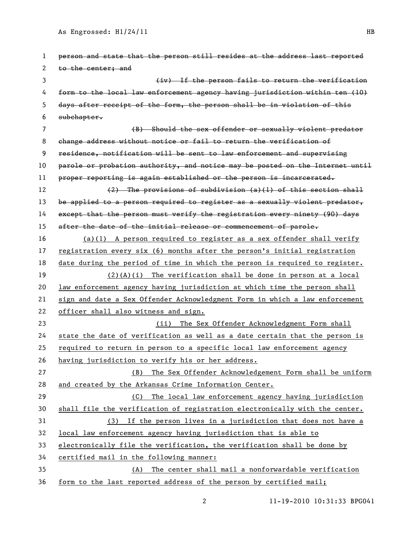| 1  | person and state that the person still resides at the address last reported   |
|----|-------------------------------------------------------------------------------|
| 2  | to the center; and                                                            |
| 3  | (iv) If the person fails to return the verification                           |
| 4  | form to the local law enforcement agency having jurisdiction within ten (10)  |
| 5  | days after receipt of the form, the person shall be in violation of this      |
| 6  | subchapter.                                                                   |
| 7  | (B) Should the sex offender or sexually violent predator                      |
| 8  | change address without notice or fail to return the verification of           |
| 9  | residence, notification will be sent to law enforcement and supervising       |
| 10 | parole or probation authority, and notice may be posted on the Internet until |
| 11 | proper reporting is again established or the person is incarcerated.          |
| 12 | $(2)$ The provisions of subdivision $(a)(1)$ of this section shall            |
| 13 | be applied to a person required to register as a sexually violent predator,   |
| 14 | except that the person must verify the registration every ninety (90) days    |
| 15 | after the date of the initial release or commencement of parole.              |
| 16 | $(a)(1)$ A person required to register as a sex offender shall verify         |
| 17 | registration every six (6) months after the person's initial registration     |
| 18 | date during the period of time in which the person is required to register.   |
| 19 | $(2)$ (A)(i) The verification shall be done in person at a local              |
| 20 | law enforcement agency having jurisdiction at which time the person shall     |
| 21 | sign and date a Sex Offender Acknowledgment Form in which a law enforcement   |
| 22 | officer shall also witness and sign.                                          |
| 23 | (ii) The Sex Offender Acknowledgment Form shall                               |
| 24 | state the date of verification as well as a date certain that the person is   |
| 25 | required to return in person to a specific local law enforcement agency       |
| 26 | having jurisdiction to verify his or her address.                             |
| 27 | (B) The Sex Offender Acknowledgement Form shall be uniform                    |
| 28 | and created by the Arkansas Crime Information Center.                         |
| 29 | The local law enforcement agency having jurisdiction<br>(C)                   |
| 30 | shall file the verification of registration electronically with the center.   |
| 31 | (3) If the person lives in a jurisdiction that does not have a                |
| 32 | local law enforcement agency having jurisdiction that is able to              |
| 33 | electronically file the verification, the verification shall be done by       |
| 34 | certified mail in the following manner:                                       |
| 35 | (A) The center shall mail a nonforwardable verification                       |
| 36 | form to the last reported address of the person by certified mail;            |
|    |                                                                               |

2 11-19-2010 10:31:33 BPG041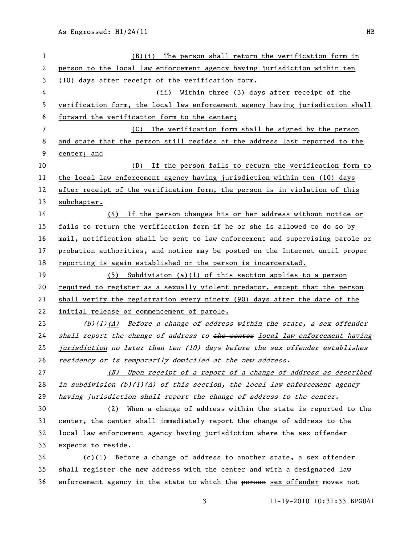| 1  | The person shall return the verification form in<br>(B)(i)                    |
|----|-------------------------------------------------------------------------------|
| 2  | person to the local law enforcement agency having jurisdiction within ten     |
| 3  | (10) days after receipt of the verification form.                             |
| 4  | Within three (3) days after receipt of the<br>(ii)                            |
| 5  | verification form, the local law enforcement agency having jurisdiction shall |
| 6  | forward the verification form to the center;                                  |
| 7  | (C) The verification form shall be signed by the person                       |
| 8  | and state that the person still resides at the address last reported to the   |
| 9  | center; and                                                                   |
| 10 | If the person fails to return the verification form to<br>(D)                 |
| 11 | the local law enforcement agency having jurisdiction within ten (10) days     |
| 12 | after receipt of the verification form, the person is in violation of this    |
| 13 | subchapter.                                                                   |
| 14 | $(4)$ If the person changes his or her address without notice or              |
| 15 | fails to return the verification form if he or she is allowed to do so by     |
| 16 | mail, notification shall be sent to law enforcement and supervising parole or |
| 17 | probation authorities, and notice may be posted on the Internet until proper  |
| 18 | reporting is again established or the person is incarcerated.                 |
| 19 | $(5)$ Subdivision (a)(1) of this section applies to a person                  |
| 20 | required to register as a sexually violent predator, except that the person   |
| 21 | shall verify the registration every ninety (90) days after the date of the    |
| 22 | initial release or commencement of parole.                                    |
| 23 | (b)(1) $(A)$ Before a change of address within the state, a sex offender      |
| 24 | shall report the change of address to the center local law enforcement having |
| 25 | jurisdiction no later than ten (10) days before the sex offender establishes  |
| 26 | residency or is temporarily domiciled at the new address.                     |
| 27 | (B) Upon receipt of a report of a change of address as described              |
| 28 | in subdivision $(b)(1)(A)$ of this section, the local law enforcement agency  |
| 29 | having jurisdiction shall report the change of address to the center.         |
| 30 | (2) When a change of address within the state is reported to the              |
| 31 | center, the center shall immediately report the change of address to the      |
| 32 | local law enforcement agency having jurisdiction where the sex offender       |
| 33 | expects to reside.                                                            |
| 34 | $(c)(1)$ Before a change of address to another state, a sex offender          |
| 35 | shall register the new address with the center and with a designated law      |
| 36 | enforcement agency in the state to which the person sex offender moves not    |
|    |                                                                               |